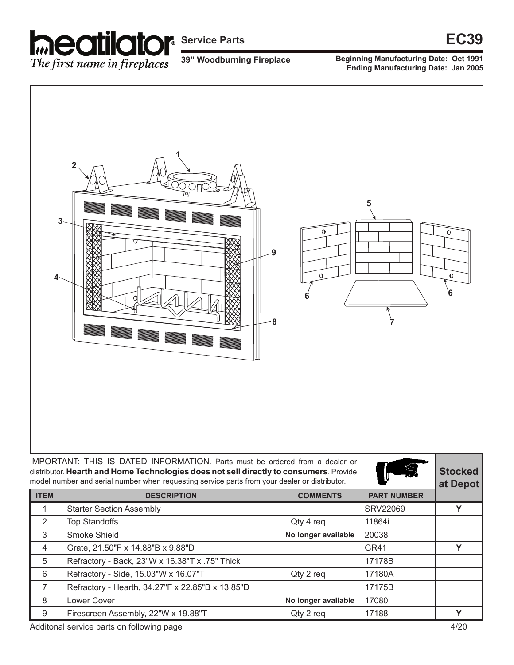

**39" Woodburning Fireplace**

**Beginning Manufacturing Date: Oct 1991 Ending Manufacturing Date: Jan 2005** 



IMPORTANT: THIS IS DATED INFORMATION. Parts must be ordered from a dealer or distributor. **Hearth and Home Technologies does not sell directly to consumers**. Provide model number and serial number when requesting service parts from your dealer or distributor.



**Stocked** 

| model number and serial number when requesting service parts from your dealer or distributor. |                                                  |                     |                    |   |
|-----------------------------------------------------------------------------------------------|--------------------------------------------------|---------------------|--------------------|---|
| <b>ITEM</b>                                                                                   | <b>DESCRIPTION</b>                               | <b>COMMENTS</b>     | <b>PART NUMBER</b> |   |
|                                                                                               | <b>Starter Section Assembly</b>                  |                     | <b>SRV22069</b>    | v |
| 2                                                                                             | <b>Top Standoffs</b>                             | Qty 4 req           | 11864i             |   |
| 3                                                                                             | Smoke Shield                                     | No longer available | 20038              |   |
| 4                                                                                             | Grate, 21.50"F x 14.88"B x 9.88"D                |                     | GR41               | v |
| 5                                                                                             | Refractory - Back, 23"W x 16.38"T x .75" Thick   |                     | 17178B             |   |
| 6                                                                                             | Refractory - Side, 15.03"W x 16.07"T             | Qty 2 req           | 17180A             |   |
| $\overline{7}$                                                                                | Refractory - Hearth, 34.27"F x 22.85"B x 13.85"D |                     | 17175B             |   |
| 8                                                                                             | <b>Lower Cover</b>                               | No longer available | 17080              |   |
| 9                                                                                             | Firescreen Assembly, 22"W x 19.88"T              | Qty 2 req           | 17188              | v |

Additonal service parts on following page 4/20